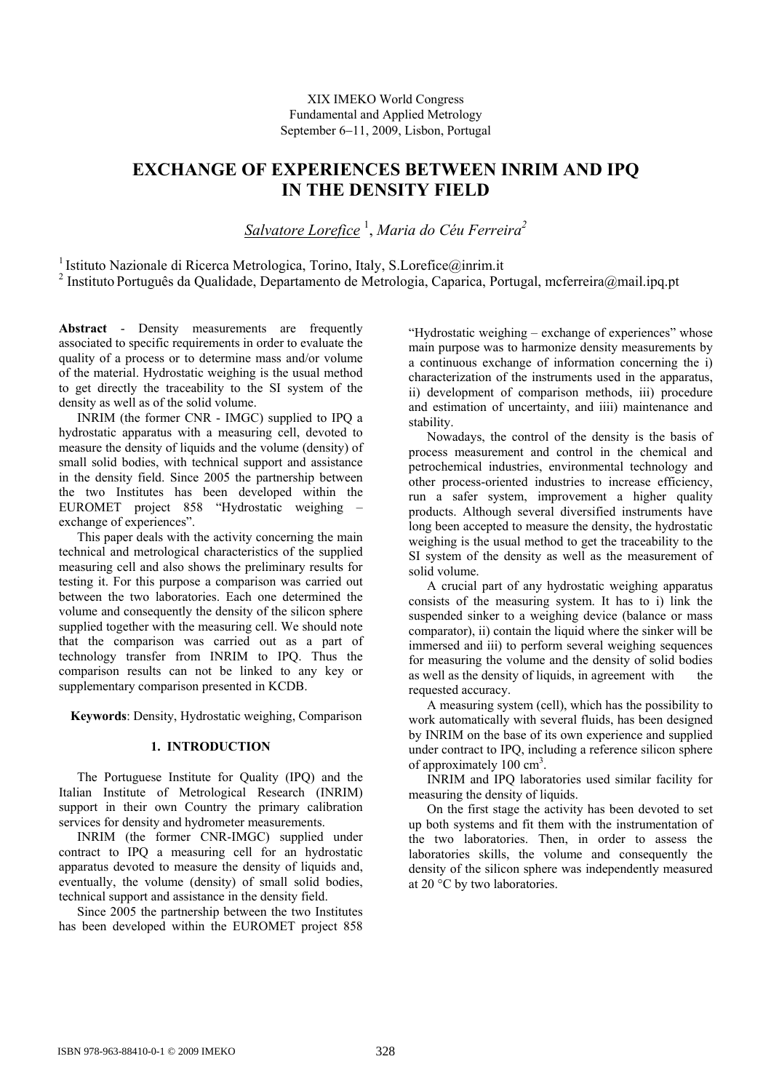# XIX IMEKO World Congress Fundamental and Applied Metrology September 6−11, 2009, Lisbon, Portugal

# **EXCHANGE OF EXPERIENCES BETWEEN INRIM AND IPQ IN THE DENSITY FIELD**

*Salvatore Lorefice* <sup>1</sup> , *Maria do Céu Ferreira2*

<sup>1</sup> Istituto Nazionale di Ricerca Metrologica, Torino, Italy, S.Lorefice@inrim.it <sup>2</sup> Instituto Português da Qualidade, Departamento de Metrologia, Caparica, Portugal, mcferreira@mail.ipq.pt

**Abstract** - Density measurements are frequently associated to specific requirements in order to evaluate the quality of a process or to determine mass and/or volume of the material. Hydrostatic weighing is the usual method to get directly the traceability to the SI system of the density as well as of the solid volume.

INRIM (the former CNR - IMGC) supplied to IPQ a hydrostatic apparatus with a measuring cell, devoted to measure the density of liquids and the volume (density) of small solid bodies, with technical support and assistance in the density field. Since 2005 the partnership between the two Institutes has been developed within the EUROMET project 858 "Hydrostatic weighing – exchange of experiences".

This paper deals with the activity concerning the main technical and metrological characteristics of the supplied measuring cell and also shows the preliminary results for testing it. For this purpose a comparison was carried out between the two laboratories. Each one determined the volume and consequently the density of the silicon sphere supplied together with the measuring cell. We should note that the comparison was carried out as a part of technology transfer from INRIM to IPQ. Thus the comparison results can not be linked to any key or supplementary comparison presented in KCDB.

**Keywords**: Density, Hydrostatic weighing, Comparison

# **1. INTRODUCTION**

The Portuguese Institute for Quality (IPQ) and the Italian Institute of Metrological Research (INRIM) support in their own Country the primary calibration services for density and hydrometer measurements.

INRIM (the former CNR-IMGC) supplied under contract to IPQ a measuring cell for an hydrostatic apparatus devoted to measure the density of liquids and, eventually, the volume (density) of small solid bodies, technical support and assistance in the density field.

Since 2005 the partnership between the two Institutes has been developed within the EUROMET project 858 "Hydrostatic weighing – exchange of experiences" whose main purpose was to harmonize density measurements by a continuous exchange of information concerning the i) characterization of the instruments used in the apparatus, ii) development of comparison methods, iii) procedure and estimation of uncertainty, and iiii) maintenance and stability.

Nowadays, the control of the density is the basis of process measurement and control in the chemical and petrochemical industries, environmental technology and other process-oriented industries to increase efficiency, run a safer system, improvement a higher quality products. Although several diversified instruments have long been accepted to measure the density, the hydrostatic weighing is the usual method to get the traceability to the SI system of the density as well as the measurement of solid volume.

A crucial part of any hydrostatic weighing apparatus consists of the measuring system. It has to i) link the suspended sinker to a weighing device (balance or mass comparator), ii) contain the liquid where the sinker will be immersed and iii) to perform several weighing sequences for measuring the volume and the density of solid bodies as well as the density of liquids, in agreement with the requested accuracy.

A measuring system (cell), which has the possibility to work automatically with several fluids, has been designed by INRIM on the base of its own experience and supplied under contract to IPQ, including a reference silicon sphere of approximately 100 cm<sup>3</sup>.

INRIM and IPQ laboratories used similar facility for measuring the density of liquids.

On the first stage the activity has been devoted to set up both systems and fit them with the instrumentation of the two laboratories. Then, in order to assess the laboratories skills, the volume and consequently the density of the silicon sphere was independently measured at 20 °C by two laboratories.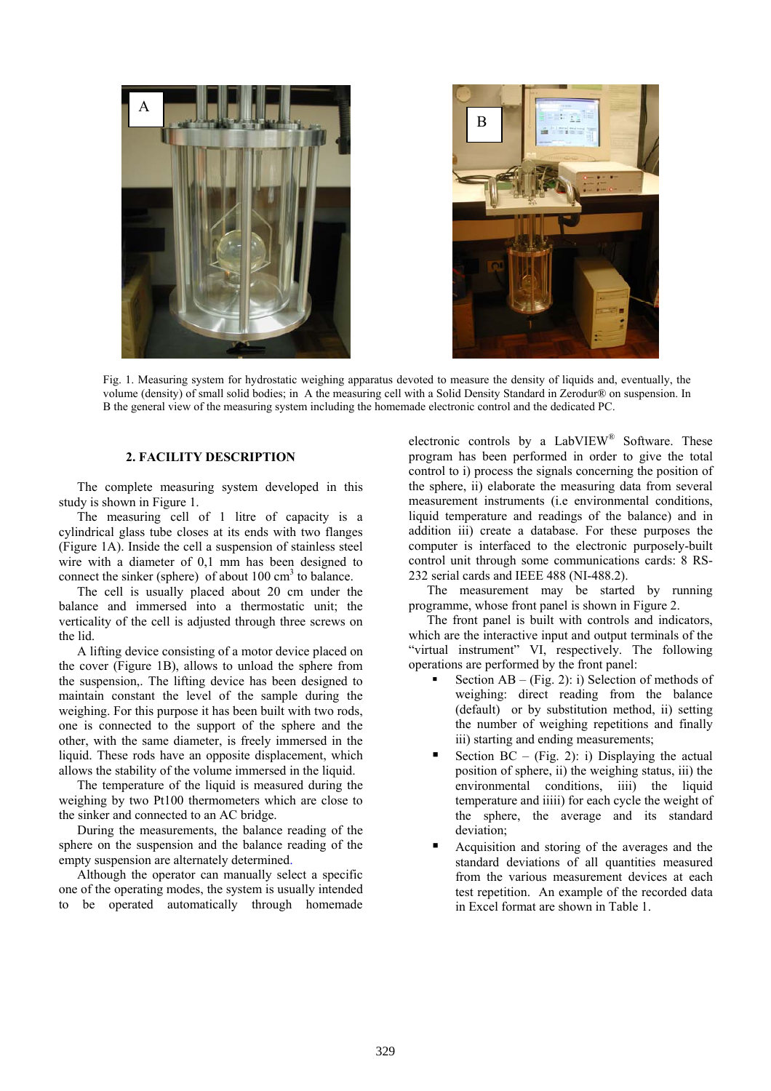



Fig. 1. Measuring system for hydrostatic weighing apparatus devoted to measure the density of liquids and, eventually, the volume (density) of small solid bodies; in A the measuring cell with a Solid Density Standard in Zerodur® on suspension. In B the general view of the measuring system including the homemade electronic control and the dedicated PC.

## **2. FACILITY DESCRIPTION**

The complete measuring system developed in this study is shown in Figure 1.

The measuring cell of 1 litre of capacity is a cylindrical glass tube closes at its ends with two flanges (Figure 1A). Inside the cell a suspension of stainless steel wire with a diameter of 0,1 mm has been designed to connect the sinker (sphere) of about  $100 \text{ cm}^3$  to balance.

The cell is usually placed about 20 cm under the balance and immersed into a thermostatic unit; the verticality of the cell is adjusted through three screws on the lid.

A lifting device consisting of a motor device placed on the cover (Figure 1B), allows to unload the sphere from the suspension,. The lifting device has been designed to maintain constant the level of the sample during the weighing. For this purpose it has been built with two rods, one is connected to the support of the sphere and the other, with the same diameter, is freely immersed in the liquid. These rods have an opposite displacement, which allows the stability of the volume immersed in the liquid.

The temperature of the liquid is measured during the weighing by two Pt100 thermometers which are close to the sinker and connected to an AC bridge.

During the measurements, the balance reading of the sphere on the suspension and the balance reading of the empty suspension are alternately determined.

Although the operator can manually select a specific one of the operating modes, the system is usually intended to be operated automatically through homemade electronic controls by a LabVIEW® Software. These program has been performed in order to give the total control to i) process the signals concerning the position of the sphere, ii) elaborate the measuring data from several measurement instruments (i.e environmental conditions, liquid temperature and readings of the balance) and in addition iii) create a database. For these purposes the computer is interfaced to the electronic purposely-built control unit through some communications cards: 8 RS-232 serial cards and IEEE 488 (NI-488.2).

The measurement may be started by running programme, whose front panel is shown in Figure 2.

The front panel is built with controls and indicators, which are the interactive input and output terminals of the "virtual instrument" VI, respectively. The following operations are performed by the front panel:

- Section  $AB (Fig. 2)$ : i) Selection of methods of weighing: direct reading from the balance (default) or by substitution method, ii) setting the number of weighing repetitions and finally iii) starting and ending measurements;
- Section  $BC (Fig. 2)$ : i) Displaying the actual position of sphere, ii) the weighing status, iii) the environmental conditions, iiii) the liquid temperature and iiiii) for each cycle the weight of the sphere, the average and its standard deviation;
- Acquisition and storing of the averages and the standard deviations of all quantities measured from the various measurement devices at each test repetition. An example of the recorded data in Excel format are shown in Table 1.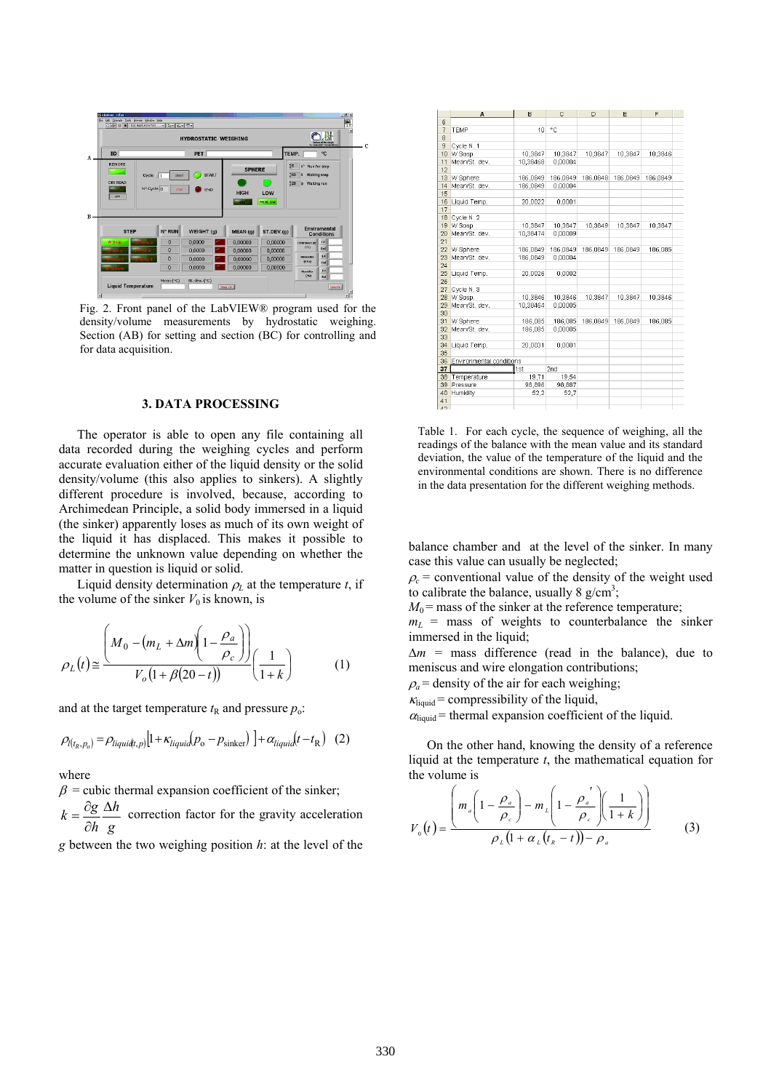

Fig. 2. Front panel of the LabVIEW® program used for the density/volume measurements by hydrostatic weighing. Section (AB) for setting and section (BC) for controlling and for data acquisition.

#### **3. DATA PROCESSING**

The operator is able to open any file containing all data recorded during the weighing cycles and perform accurate evaluation either of the liquid density or the solid density/volume (this also applies to sinkers). A slightly different procedure is involved, because, according to Archimedean Principle, a solid body immersed in a liquid (the sinker) apparently loses as much of its own weight of the liquid it has displaced. This makes it possible to determine the unknown value depending on whether the matter in question is liquid or solid.

Liquid density determination  $\rho_L$  at the temperature *t*, if the volume of the sinker  $V_0$  is known, is

$$
\rho_L(t) \approx \frac{\left(M_0 - \left(m_L + \Delta m\right)\left(1 - \frac{\rho_a}{\rho_c}\right)\right)}{V_o\left(1 + \beta(20 - t)\right)} \left(\frac{1}{1 + k}\right) \tag{1}
$$

and at the target temperature  $t<sub>R</sub>$  and pressure  $p<sub>o</sub>$ :

$$
\rho_{l(t_R, p_0)} = \rho_{liquid(t, p)} [1 + \kappa_{liquid}(p_0 - p_{\text{sinker}})] + \alpha_{liquid}(t - t_R)
$$
 (2)

where

 $\beta$  = cubic thermal expansion coefficient of the sinker;

*g h h*  $k = \frac{\partial g}{\partial t} \Delta$ ∂  $=\frac{\partial g}{\partial t} \frac{\Delta h}{\Delta t}$  correction factor for the gravity acceleration

*g* between the two weighing position *h*: at the level of the

|                       | A                        | B        | C        | D        | E        | F        |  |
|-----------------------|--------------------------|----------|----------|----------|----------|----------|--|
| 6                     |                          |          |          |          |          |          |  |
| 7                     | TEMP                     | 10       | ۰c       |          |          |          |  |
| 8                     |                          |          |          |          |          |          |  |
| 9                     | Cycle N. 1               |          |          |          |          |          |  |
| 10                    | W Sosp.                  | 10,3847  | 10,3847  | 10,3847  | 10,3847  | 10,3846  |  |
| 11                    | Mean/St. dev.            | 10,38468 | 0,00004  |          |          |          |  |
| 12                    |                          |          |          |          |          |          |  |
| 13                    | W Sphere                 | 186,0849 | 186,0849 | 186,0848 | 186,0849 | 186,0849 |  |
| 14                    | Mean/St. dev.            | 186,0849 | 0,00004  |          |          |          |  |
| 15                    |                          |          |          |          |          |          |  |
| 16                    | Liquid Temp.             | 20,0022  | 0,0001   |          |          |          |  |
| 17                    |                          |          |          |          |          |          |  |
| 18                    | Cycle N. 2               |          |          |          |          |          |  |
| 19                    | W Sosp.                  | 10,3847  | 10,3847  | 10,3849  | 10,3847  | 10,3847  |  |
| 20                    | Mean/St. dev.            | 10,38474 | 0.00009  |          |          |          |  |
| 21                    |                          |          |          |          |          |          |  |
| 22                    | W Sphere                 | 186,0849 | 186,0849 | 186,0849 | 186,0849 | 186,085  |  |
| 23                    | Mean/St. dev.            | 186,0849 | 0.00004  |          |          |          |  |
| 24                    |                          |          |          |          |          |          |  |
| 25                    | Liquid Temp.             | 20,0026  | 0,0002   |          |          |          |  |
| 26                    |                          |          |          |          |          |          |  |
| 27                    | Cycle N. 3               |          |          |          |          |          |  |
| 28                    | W Sosp.                  | 10,3846  | 10,3846  | 10,3847  | 10,3847  | 10,3846  |  |
| 29                    | Mean/St. dev.            | 10.38464 | 0,00005  |          |          |          |  |
| 30                    |                          |          |          |          |          |          |  |
| 31                    | W Sphere                 | 186,085  | 186,085  | 186.0849 | 186,0849 | 186,085  |  |
| 32                    | Mean/St. dev.            | 186,085  | 0,00005  |          |          |          |  |
| 33                    |                          |          |          |          |          |          |  |
| 34                    | Liquid Temp.             | 20,0031  | 0,0001   |          |          |          |  |
| 35                    |                          |          |          |          |          |          |  |
| 36                    | Environmental conditions |          |          |          |          |          |  |
| 37                    |                          | 1st      | 2nd      |          |          |          |  |
| 38                    | Temperature              | 19,71    | 19,54    |          |          |          |  |
| 39                    | Pressure                 | 98,896   | 98,887   |          |          |          |  |
| 40                    | Humidity                 | 52,2     | 52,7     |          |          |          |  |
| 41<br>$\overline{AB}$ |                          |          |          |          |          |          |  |
|                       |                          |          |          |          |          |          |  |

Table 1.For each cycle, the sequence of weighing, all the readings of the balance with the mean value and its standard deviation, the value of the temperature of the liquid and the environmental conditions are shown. There is no difference in the data presentation for the different weighing methods.

balance chamber and at the level of the sinker. In many case this value can usually be neglected;

 $\rho_c$  = conventional value of the density of the weight used to calibrate the balance, usually  $8 \text{ g/cm}^3$ ;

 $M_0$  = mass of the sinker at the reference temperature;

 $m<sub>L</sub>$  = mass of weights to counterbalance the sinker immersed in the liquid;

∆*m =* mass difference (read in the balance), due to meniscus and wire elongation contributions;

 $\rho_a$  = density of the air for each weighing;

 $\kappa_{\text{liquid}}$  = compressibility of the liquid,

 $\alpha_{\text{liquid}}$  = thermal expansion coefficient of the liquid.

On the other hand, knowing the density of a reference liquid at the temperature *t*, the mathematical equation for the volume is

$$
V_{0}(t) = \frac{\left(m_a \left(1 - \frac{\rho_a}{\rho_c}\right) - m_{\iota}\left(1 - \frac{\rho_a'}{\rho_c}\right)\left(\frac{1}{1 + k}\right)\right)}{\rho_{\iota}\left(1 + \alpha_{\iota}\left(t_{\kappa} - t\right)\right) - \rho_a}
$$
(3)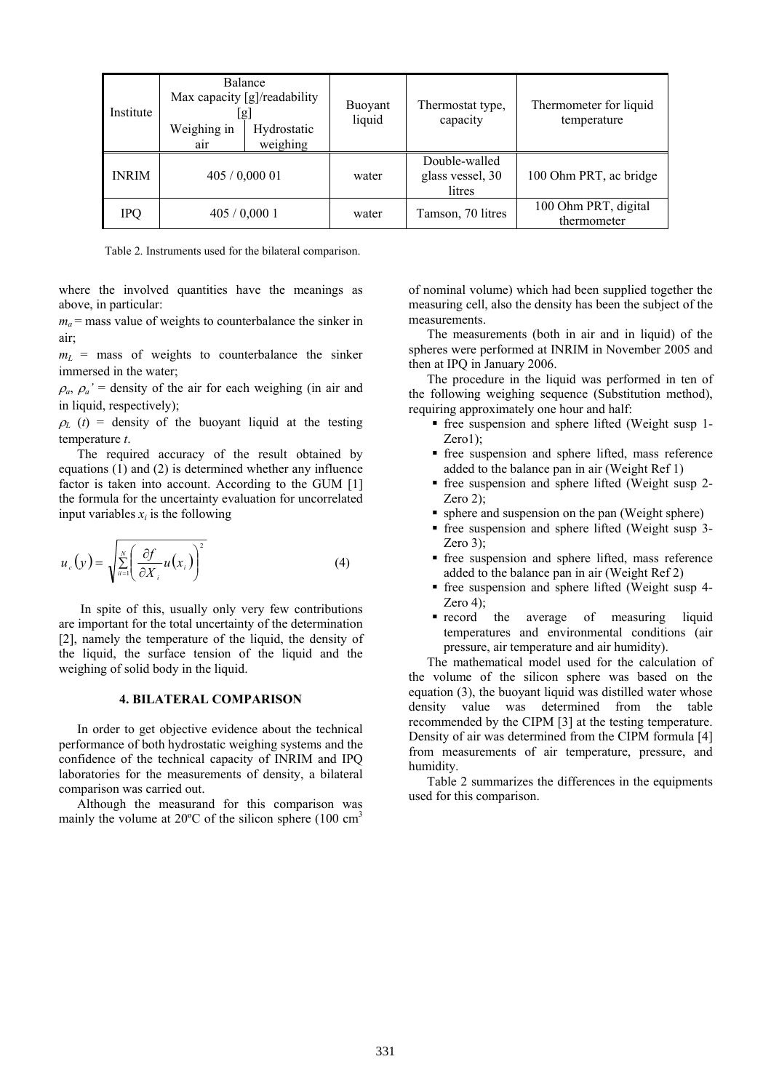| Institute    | Weighing in<br>air | Balance<br>Max capacity $[g]/readability$<br>lgj<br>Hydrostatic<br>weighing | Buoyant<br>liquid | Thermostat type,<br>capacity                | Thermometer for liquid<br>temperature |
|--------------|--------------------|-----------------------------------------------------------------------------|-------------------|---------------------------------------------|---------------------------------------|
| <b>INRIM</b> | 405/0,00001        |                                                                             | water             | Double-walled<br>glass vessel, 30<br>litres | 100 Ohm PRT, ac bridge                |
| IPQ          | 405/0,0001         |                                                                             | water             | Tamson, 70 litres                           | 100 Ohm PRT, digital<br>thermometer   |

Table 2. Instruments used for the bilateral comparison.

where the involved quantities have the meanings as above, in particular:

 $m_a$  = mass value of weights to counterbalance the sinker in air;

 $m<sub>L</sub>$  = mass of weights to counterbalance the sinker immersed in the water;

 $\rho_a$ ,  $\rho_a$ <sup>'</sup> = density of the air for each weighing (in air and in liquid, respectively);

 $\rho_L$  (*t*) = density of the buoyant liquid at the testing temperature *t*.

The required accuracy of the result obtained by equations (1) and (2) is determined whether any influence factor is taken into account. According to the GUM [1] the formula for the uncertainty evaluation for uncorrelated input variables  $x_i$  is the following

$$
u_c(y) = \sqrt{\sum_{i=1}^{N} \left(\frac{\partial f}{\partial X_i} u(x_i)\right)^2}
$$
 (4)

 In spite of this, usually only very few contributions are important for the total uncertainty of the determination [2], namely the temperature of the liquid, the density of the liquid, the surface tension of the liquid and the weighing of solid body in the liquid.

#### **4. BILATERAL COMPARISON**

In order to get objective evidence about the technical performance of both hydrostatic weighing systems and the confidence of the technical capacity of INRIM and IPQ laboratories for the measurements of density, a bilateral comparison was carried out.

Although the measurand for this comparison was mainly the volume at  $20^{\circ}$ C of the silicon sphere (100 cm<sup>3</sup>)

of nominal volume) which had been supplied together the measuring cell, also the density has been the subject of the measurements.

The measurements (both in air and in liquid) of the spheres were performed at INRIM in November 2005 and then at IPQ in January 2006.

The procedure in the liquid was performed in ten of the following weighing sequence (Substitution method), requiring approximately one hour and half:

- free suspension and sphere lifted (Weight susp 1- Zero1);
- free suspension and sphere lifted, mass reference added to the balance pan in air (Weight Ref 1)
- free suspension and sphere lifted (Weight susp 2- Zero 2);
- sphere and suspension on the pan (Weight sphere)
- free suspension and sphere lifted (Weight susp 3- Zero 3);
- free suspension and sphere lifted, mass reference added to the balance pan in air (Weight Ref 2)
- free suspension and sphere lifted (Weight susp 4- Zero 4);
- record the average of measuring liquid temperatures and environmental conditions (air pressure, air temperature and air humidity).

The mathematical model used for the calculation of the volume of the silicon sphere was based on the equation (3), the buoyant liquid was distilled water whose density value was determined from the table recommended by the CIPM [3] at the testing temperature. Density of air was determined from the CIPM formula [4] from measurements of air temperature, pressure, and humidity.

Table 2 summarizes the differences in the equipments used for this comparison.